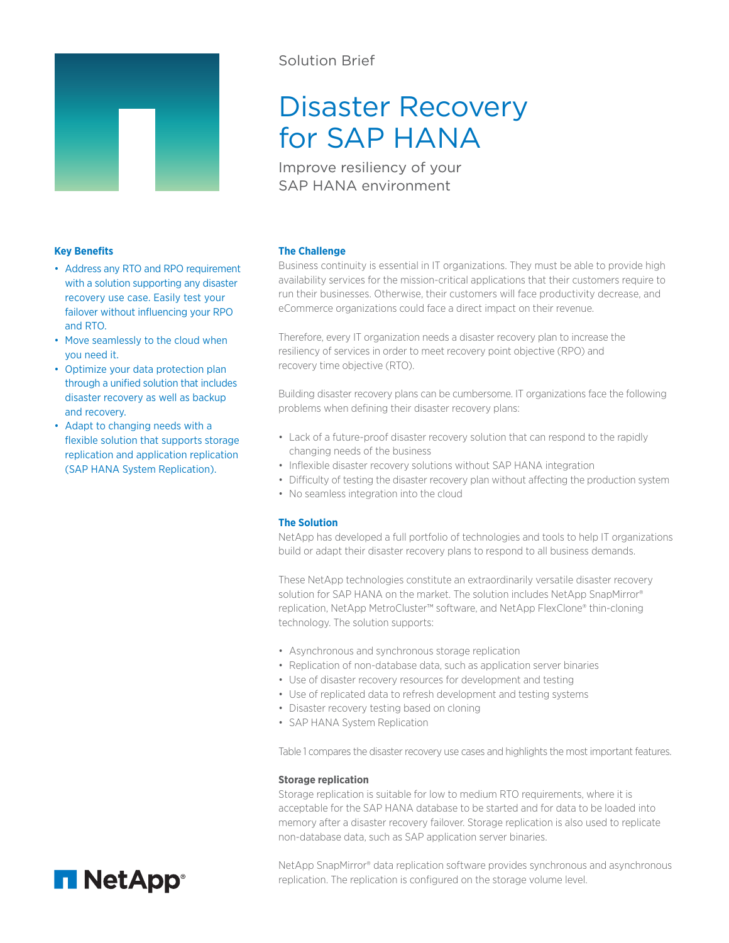

## Solution Brief

# Disaster Recovery for SAP HANA

Improve resiliency of your SAP HANA environment

## **Key Benefits**

- Address any RTO and RPO requirement with a solution supporting any disaster recovery use case. Easily test your failover without influencing your RPO and RTO.
- Move seamlessly to the cloud when you need it.
- Optimize your data protection plan through a unified solution that includes disaster recovery as well as backup and recovery.
- Adapt to changing needs with a flexible solution that supports storage replication and application replication (SAP HANA System Replication).

## **The Challenge**

Business continuity is essential in IT organizations. They must be able to provide high availability services for the mission-critical applications that their customers require to run their businesses. Otherwise, their customers will face productivity decrease, and eCommerce organizations could face a direct impact on their revenue.

Therefore, every IT organization needs a disaster recovery plan to increase the resiliency of services in order to meet recovery point objective (RPO) and recovery time objective (RTO).

Building disaster recovery plans can be cumbersome. IT organizations face the following problems when defining their disaster recovery plans:

- Lack of a future-proof disaster recovery solution that can respond to the rapidly changing needs of the business
- Inflexible disaster recovery solutions without SAP HANA integration
- Difficulty of testing the disaster recovery plan without affecting the production system
- No seamless integration into the cloud

## **The Solution**

NetApp has developed a full portfolio of technologies and tools to help IT organizations build or adapt their disaster recovery plans to respond to all business demands.

These NetApp technologies constitute an extraordinarily versatile disaster recovery solution for SAP HANA on the market. The solution includes NetApp SnapMirror® replication, NetApp MetroCluster™ software, and NetApp FlexClone® thin-cloning technology. The solution supports:

- Asynchronous and synchronous storage replication
- Replication of non-database data, such as application server binaries
- Use of disaster recovery resources for development and testing
- Use of replicated data to refresh development and testing systems
- Disaster recovery testing based on cloning
- SAP HANA System Replication

Table 1 compares the disaster recovery use cases and highlights the most important features.

## **Storage replication**

Storage replication is suitable for low to medium RTO requirements, where it is acceptable for the SAP HANA database to be started and for data to be loaded into memory after a disaster recovery failover. Storage replication is also used to replicate non-database data, such as SAP application server binaries.

**n** NetApp®

NetApp SnapMirror® data replication software provides synchronous and asynchronous replication. The replication is configured on the storage volume level.